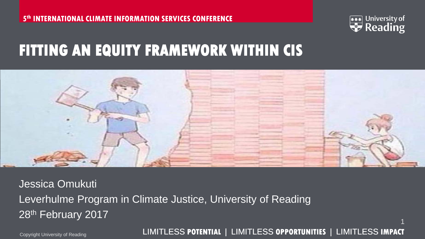

#### **FITTING AN EQUITY FRAMEWORK WITHIN CIS**



Jessica Omukuti Leverhulme Program in Climate Justice, University of Reading 28<sup>th</sup> February 2017

Copyright University of Reading LIMITLESS **POTENTIAL** | LIMITLESS **OPPORTUNITIES** | LIMITLESS **IMPACT**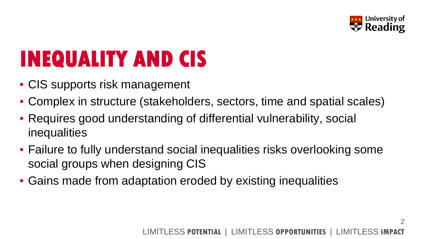

2

# **INEQUALITY AND CIS**

- CIS supports risk management
- Complex in structure (stakeholders, sectors, time and spatial scales)
- Requires good understanding of differential vulnerability, social inequalities
- Failure to fully understand social inequalities risks overlooking some social groups when designing CIS
- Gains made from adaptation eroded by existing inequalities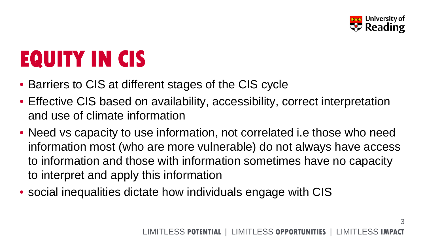

# **EQUITY IN CIS**

- Barriers to CIS at different stages of the CIS cycle
- Effective CIS based on availability, accessibility, correct interpretation and use of climate information
- Need vs capacity to use information, not correlated i.e those who need information most (who are more vulnerable) do not always have access to information and those with information sometimes have no capacity to interpret and apply this information
- social inequalities dictate how individuals engage with CIS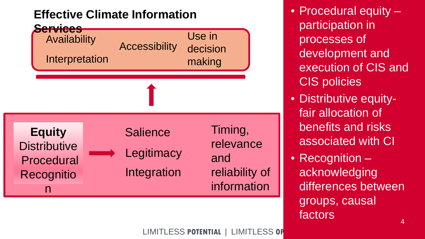#### **Effective Climate Information**



• Procedural equity – participation in processes of development and execution of CIS and CIS policies

- Distributive equityfair allocation of benefits and risks associated with CI
- Recognition acknowledging differences between groups, causal factors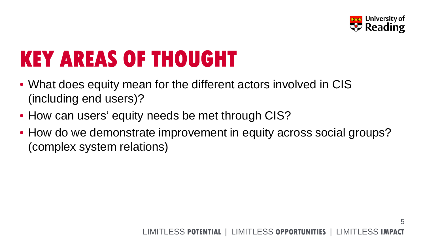

5

### **KEY AREAS OF THOUGHT**

- What does equity mean for the different actors involved in CIS (including end users)?
- How can users' equity needs be met through CIS?
- How do we demonstrate improvement in equity across social groups? (complex system relations)